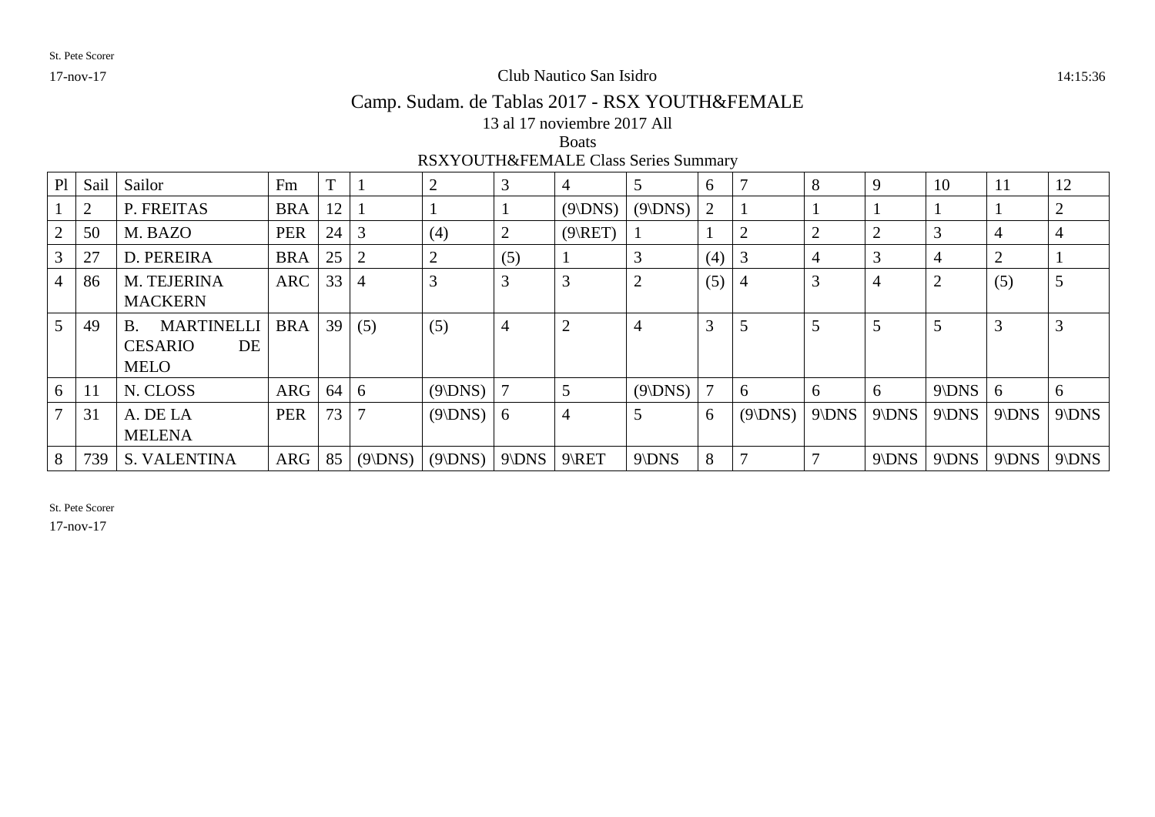### 17-nov-17 Club Nautico San Isidro 14:15:36

# Camp. Sudam. de Tablas 2017 - RSX YOUTH&FEMALE

13 al 17 noviembre 2017 All

#### Boats

RSXYOUTH&FEMALE Class Series Summary

| P1 | Sail           | Sailor                         | Fm         | $\mathbf{T}$ |                | $\overline{2}$ | 3              | 4              |         | 6   |              | 8              | 9       | 10             | 11      | 12      |
|----|----------------|--------------------------------|------------|--------------|----------------|----------------|----------------|----------------|---------|-----|--------------|----------------|---------|----------------|---------|---------|
|    | $\overline{2}$ | P. FREITAS                     | <b>BRA</b> | 12           |                |                |                | (9 DNS)        | (9 DNS) | 2   |              |                |         |                |         | 2       |
|    | 50             | M. BAZO                        | <b>PER</b> | 24           | 3              | (4)            | $\overline{2}$ | (9 RET)        |         |     |              | $\overline{2}$ | 2       | 3              |         | 4       |
|    | 27             | D. PEREIRA                     | <b>BRA</b> | 25           | $\overline{2}$ | $\overline{2}$ | (5)            |                |         | (4) |              |                | 3       | 4              | ◠       |         |
|    | 86             | M. TEJERINA                    | <b>ARC</b> | 33           | 4              | 3              | 3              | 3              |         | (5) | 4            | 3              | 4       | $\overline{2}$ | (5)     |         |
|    |                | <b>MACKERN</b>                 |            |              |                |                |                |                |         |     |              |                |         |                |         |         |
|    | 49             | <b>MARTINELLI</b><br><b>B.</b> | <b>BRA</b> | 39           | (5)            | (5)            | $\overline{4}$ | $\overline{2}$ |         | 3   |              | 5              | 5       | 5              | 3       | 3       |
|    |                | <b>CESARIO</b><br>DE           |            |              |                |                |                |                |         |     |              |                |         |                |         |         |
|    |                | <b>MELO</b>                    |            |              |                |                |                |                |         |     |              |                |         |                |         |         |
| 6  | 11             | N. CLOSS                       | ARG        | 64           | 6              | (9 DNS)        |                | 5              | (9 DNS) |     | <sub>0</sub> | 6              | 6       | $9$ DNS        | 6       | 6       |
|    | 31             | A. DE LA                       | <b>PER</b> | 73           | $\mathcal{I}$  | $(9$ DNS)      | 6              | 4              |         | 6   | (9 DNS)      | $9$ DNS        | $9$ DNS | $9$ DNS        | $9$ DNS | $9$ DNS |
|    |                | <b>MELENA</b>                  |            |              |                |                |                |                |         |     |              |                |         |                |         |         |
|    | 739            | <b>S. VALENTINA</b>            | ARG        | 85           | (9 DNS)        | (9 DNS)        | $9$ DNS        | $9$ RET        | $9$ DNS | 8   |              |                | $9$ DNS | $9$ DNS        | $9$ DNS | $9$ DNS |

St. Pete Scorer

17-nov-17